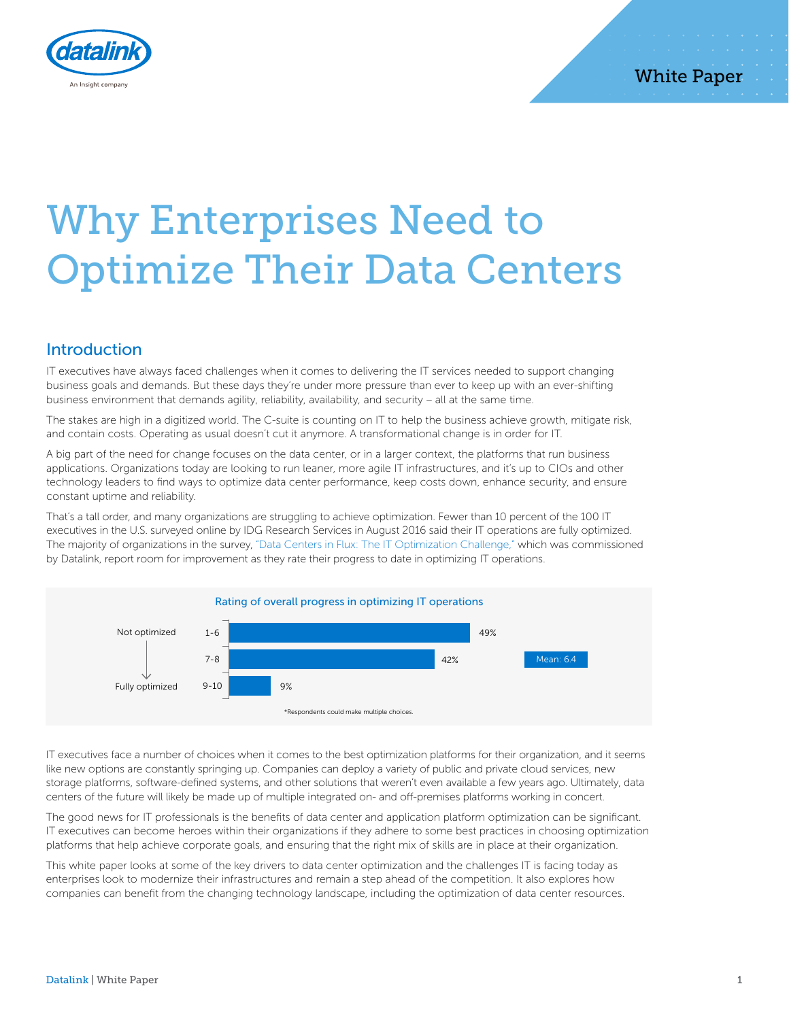

# Why Enterprises Need to Optimize Their Data Centers

## Introduction

IT executives have always faced challenges when it comes to delivering the IT services needed to support changing business goals and demands. But these days they're under more pressure than ever to keep up with an ever-shifting business environment that demands agility, reliability, availability, and security – all at the same time.

The stakes are high in a digitized world. The C-suite is counting on IT to help the business achieve growth, mitigate risk, and contain costs. Operating as usual doesn't cut it anymore. A transformational change is in order for IT.

A big part of the need for change focuses on the data center, or in a larger context, the platforms that run business applications. Organizations today are looking to run leaner, more agile IT infrastructures, and it's up to CIOs and other technology leaders to find ways to optimize data center performance, keep costs down, enhance security, and ensure constant uptime and reliability.

That's a tall order, and many organizations are struggling to achieve optimization. Fewer than 10 percent of the 100 IT executives in the U.S. surveyed online by IDG Research Services in August 2016 said their IT operations are fully optimized. The majority of organizations in the survey, "Data Centers in Flux: The IT Optimization Challenge," which was commissioned by Datalink, report room for improvement as they rate their progress to date in optimizing IT operations.



IT executives face a number of choices when it comes to the best optimization platforms for their organization, and it seems like new options are constantly springing up. Companies can deploy a variety of public and private cloud services, new storage platforms, software-defined systems, and other solutions that weren't even available a few years ago. Ultimately, data centers of the future will likely be made up of multiple integrated on- and off-premises platforms working in concert.

The good news for IT professionals is the benefits of data center and application platform optimization can be significant. IT executives can become heroes within their organizations if they adhere to some best practices in choosing optimization platforms that help achieve corporate goals, and ensuring that the right mix of skills are in place at their organization.

This white paper looks at some of the key drivers to data center optimization and the challenges IT is facing today as enterprises look to modernize their infrastructures and remain a step ahead of the competition. It also explores how companies can benefit from the changing technology landscape, including the optimization of data center resources.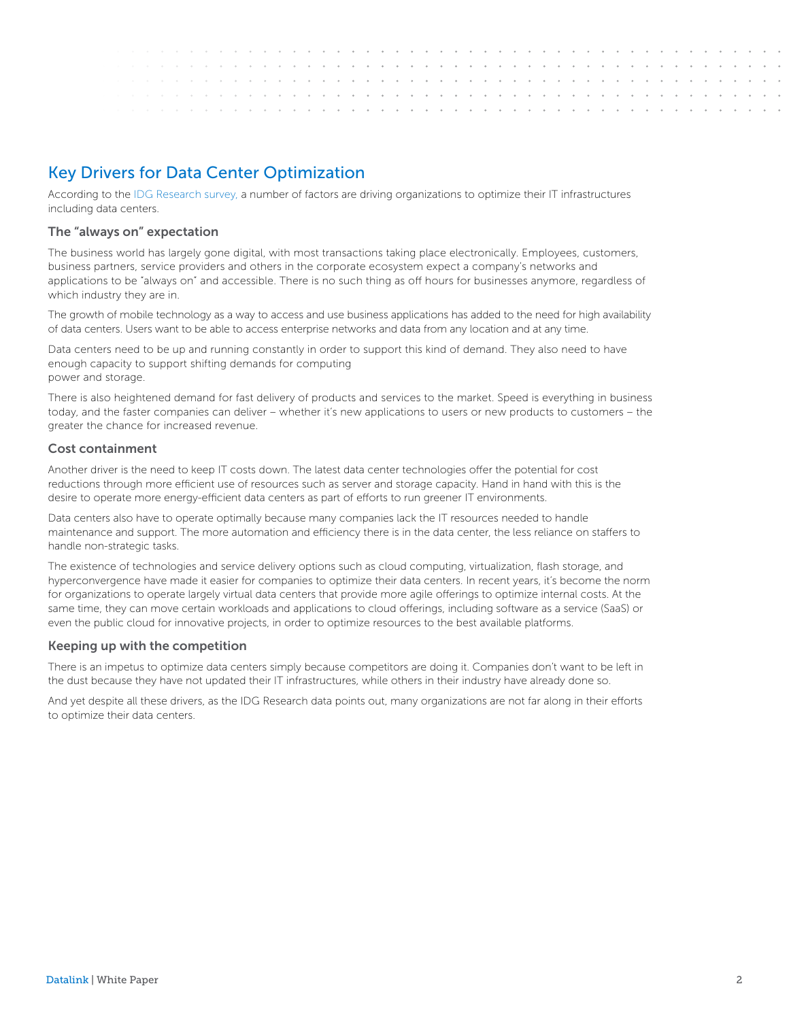# Key Drivers for Data Center Optimization

According to the IDG Research survey, a number of factors are driving organizations to optimize their IT infrastructures including data centers.

## The "always on" expectation

The business world has largely gone digital, with most transactions taking place electronically. Employees, customers, business partners, service providers and others in the corporate ecosystem expect a company's networks and applications to be "always on" and accessible. There is no such thing as off hours for businesses anymore, regardless of which industry they are in.

The growth of mobile technology as a way to access and use business applications has added to the need for high availability of data centers. Users want to be able to access enterprise networks and data from any location and at any time.

Data centers need to be up and running constantly in order to support this kind of demand. They also need to have enough capacity to support shifting demands for computing power and storage.

There is also heightened demand for fast delivery of products and services to the market. Speed is everything in business today, and the faster companies can deliver – whether it's new applications to users or new products to customers – the greater the chance for increased revenue.

## Cost containment

Another driver is the need to keep IT costs down. The latest data center technologies offer the potential for cost reductions through more efficient use of resources such as server and storage capacity. Hand in hand with this is the desire to operate more energy-efficient data centers as part of efforts to run greener IT environments.

Data centers also have to operate optimally because many companies lack the IT resources needed to handle maintenance and support. The more automation and efficiency there is in the data center, the less reliance on staffers to handle non-strategic tasks.

The existence of technologies and service delivery options such as cloud computing, virtualization, flash storage, and hyperconvergence have made it easier for companies to optimize their data centers. In recent years, it's become the norm for organizations to operate largely virtual data centers that provide more agile offerings to optimize internal costs. At the same time, they can move certain workloads and applications to cloud offerings, including software as a service (SaaS) or even the public cloud for innovative projects, in order to optimize resources to the best available platforms.

## Keeping up with the competition

There is an impetus to optimize data centers simply because competitors are doing it. Companies don't want to be left in the dust because they have not updated their IT infrastructures, while others in their industry have already done so.

And yet despite all these drivers, as the IDG Research data points out, many organizations are not far along in their efforts to optimize their data centers.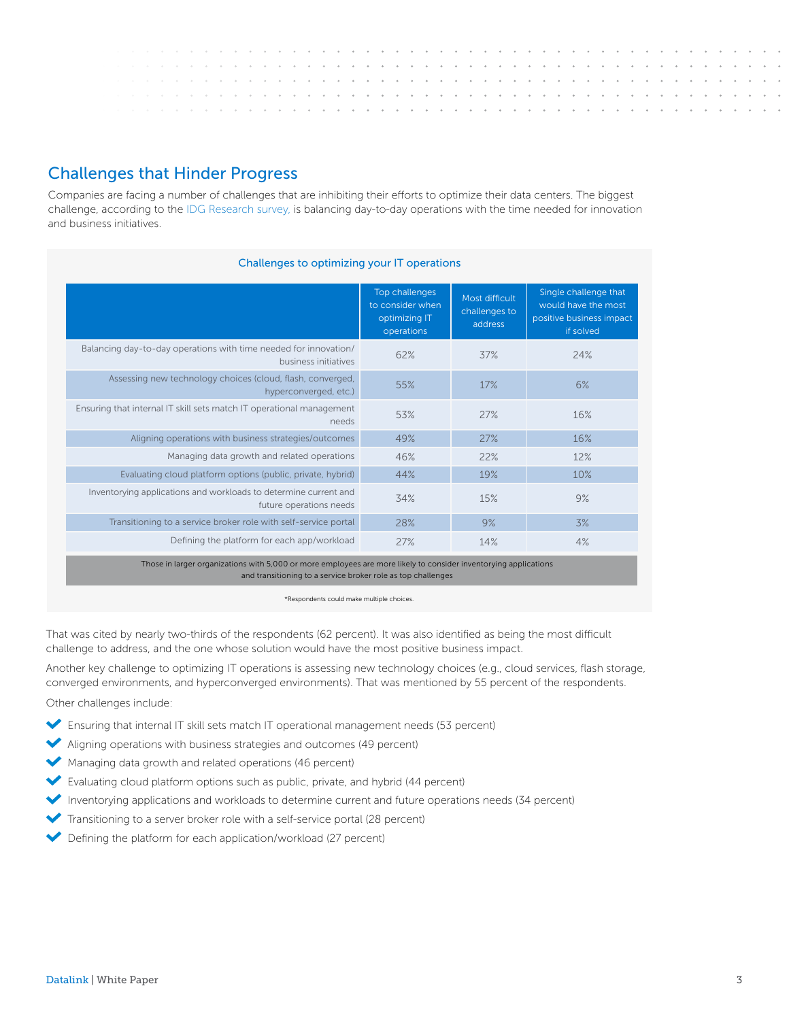# Challenges that Hinder Progress

Companies are facing a number of challenges that are inhibiting their efforts to optimize their data centers. The biggest challenge, according to the IDG Research survey, is balancing day-to-day operations with the time needed for innovation and business initiatives.

| Challenges to optimizing your IT operations                                                                                                                                      |                                                                   |                                            |                                                                                       |  |  |  |  |  |  |  |  |  |  |  |
|----------------------------------------------------------------------------------------------------------------------------------------------------------------------------------|-------------------------------------------------------------------|--------------------------------------------|---------------------------------------------------------------------------------------|--|--|--|--|--|--|--|--|--|--|--|
|                                                                                                                                                                                  | Top challenges<br>to consider when<br>optimizing IT<br>operations | Most difficult<br>challenges to<br>address | Single challenge that<br>would have the most<br>positive business impact<br>if solved |  |  |  |  |  |  |  |  |  |  |  |
| Balancing day-to-day operations with time needed for innovation/<br>business initiatives                                                                                         | 62%                                                               | 37%                                        | 24%                                                                                   |  |  |  |  |  |  |  |  |  |  |  |
| Assessing new technology choices (cloud, flash, converged,<br>hyperconverged, etc.)                                                                                              | 55%                                                               | 17%                                        | 6%                                                                                    |  |  |  |  |  |  |  |  |  |  |  |
| Ensuring that internal IT skill sets match IT operational management<br>needs                                                                                                    | 53%                                                               | 27%                                        | 16%                                                                                   |  |  |  |  |  |  |  |  |  |  |  |
| Aligning operations with business strategies/outcomes                                                                                                                            | 49%                                                               | 27%                                        | 16%                                                                                   |  |  |  |  |  |  |  |  |  |  |  |
| Managing data growth and related operations                                                                                                                                      | 46%                                                               | 22%                                        | 12%                                                                                   |  |  |  |  |  |  |  |  |  |  |  |
| Evaluating cloud platform options (public, private, hybrid)                                                                                                                      | 44%                                                               | 19%                                        | 10%                                                                                   |  |  |  |  |  |  |  |  |  |  |  |
| Inventorying applications and workloads to determine current and<br>future operations needs                                                                                      | 34%                                                               | 15%                                        | 9%                                                                                    |  |  |  |  |  |  |  |  |  |  |  |
| Transitioning to a service broker role with self-service portal                                                                                                                  | 28%                                                               | 9%                                         | 3%                                                                                    |  |  |  |  |  |  |  |  |  |  |  |
| Defining the platform for each app/workload                                                                                                                                      | 27%                                                               | 14%                                        | 4%                                                                                    |  |  |  |  |  |  |  |  |  |  |  |
| Those in larger organizations with 5,000 or more employees are more likely to consider inventorying applications<br>and transitioning to a service broker role as top challenges |                                                                   |                                            |                                                                                       |  |  |  |  |  |  |  |  |  |  |  |

\*Respondents could make multiple choices.

That was cited by nearly two-thirds of the respondents (62 percent). It was also identified as being the most difficult challenge to address, and the one whose solution would have the most positive business impact.

Another key challenge to optimizing IT operations is assessing new technology choices (e.g., cloud services, flash storage, converged environments, and hyperconverged environments). That was mentioned by 55 percent of the respondents.

Other challenges include:

- Ensuring that internal IT skill sets match IT operational management needs (53 percent)
- Aligning operations with business strategies and outcomes (49 percent)
- Managing data growth and related operations (46 percent)
- Evaluating cloud platform options such as public, private, and hybrid (44 percent)
- Inventorying applications and workloads to determine current and future operations needs (34 percent)
- Transitioning to a server broker role with a self-service portal (28 percent)
- ◆ Defining the platform for each application/workload (27 percent)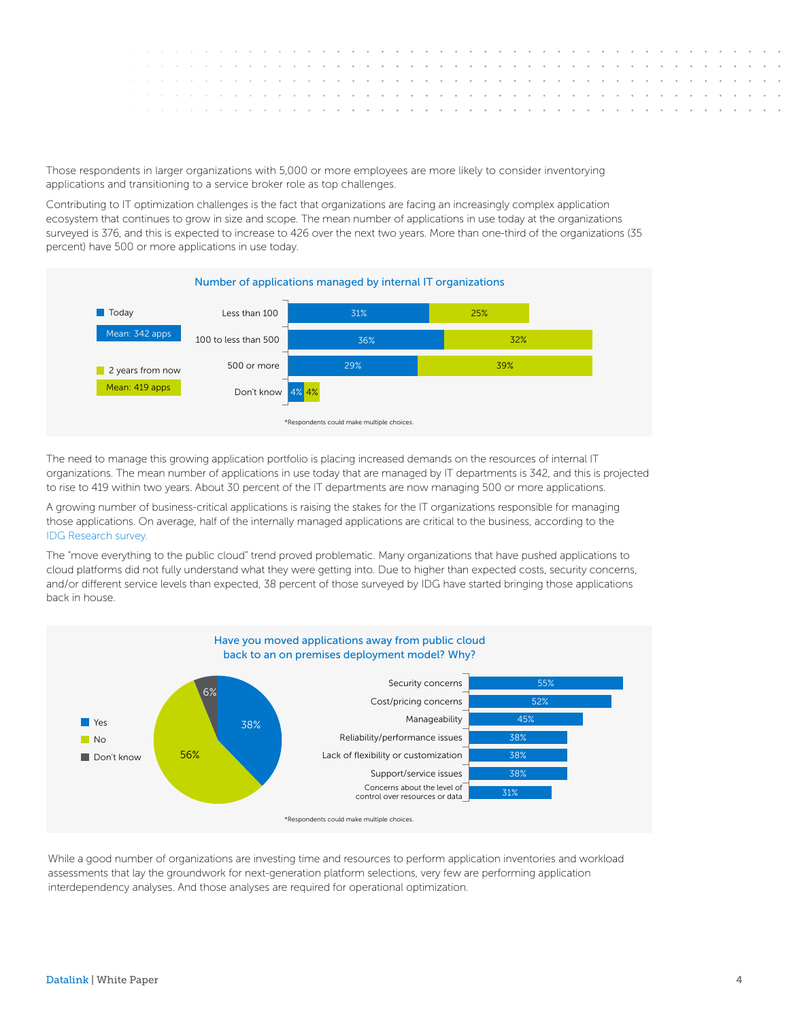Those respondents in larger organizations with 5,000 or more employees are more likely to consider inventorying applications and transitioning to a service broker role as top challenges.

Contributing to IT optimization challenges is the fact that organizations are facing an increasingly complex application ecosystem that continues to grow in size and scope. The mean number of applications in use today at the organizations surveyed is 376, and this is expected to increase to 426 over the next two years. More than one-third of the organizations (35 percent) have 500 or more applications in use today.



The need to manage this growing application portfolio is placing increased demands on the resources of internal IT organizations. The mean number of applications in use today that are managed by IT departments is 342, and this is projected to rise to 419 within two years. About 30 percent of the IT departments are now managing 500 or more applications.

A growing number of business-critical applications is raising the stakes for the IT organizations responsible for managing those applications. On average, half of the internally managed applications are critical to the business, according to the IDG Research survey.

The "move everything to the public cloud" trend proved problematic. Many organizations that have pushed applications to cloud platforms did not fully understand what they were getting into. Due to higher than expected costs, security concerns, and/or different service levels than expected, 38 percent of those surveyed by IDG have started bringing those applications back in house.



While a good number of organizations are investing time and resources to perform application inventories and workload assessments that lay the groundwork for next-generation platform selections, very few are performing application interdependency analyses. And those analyses are required for operational optimization.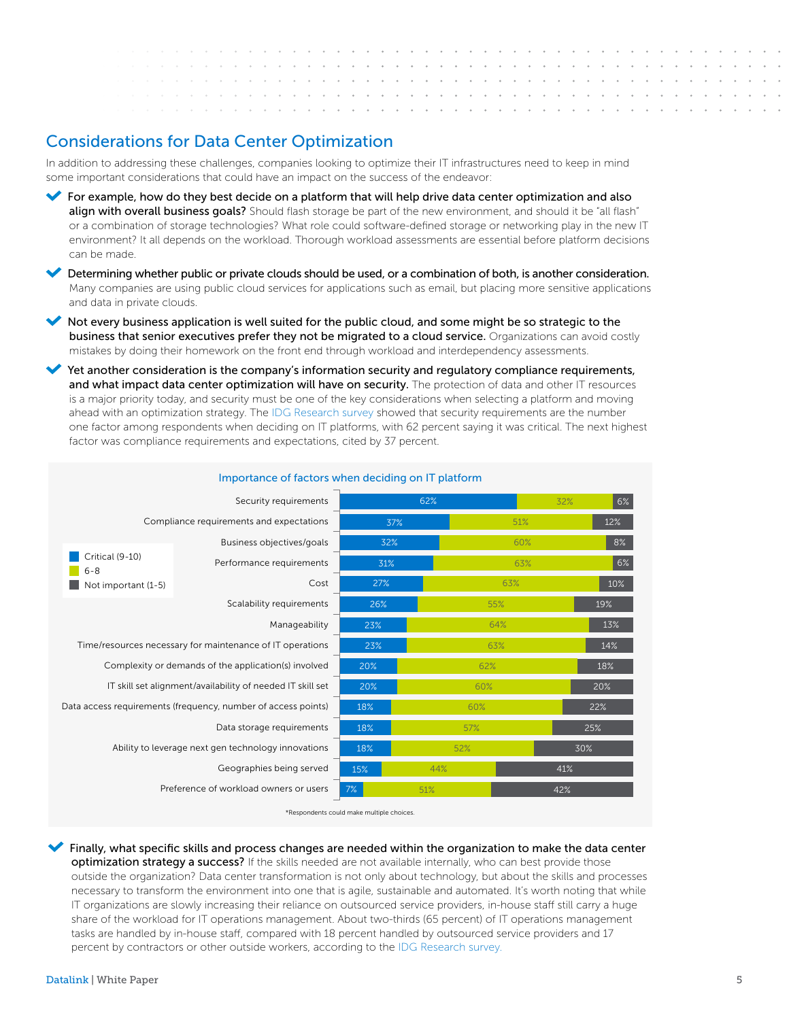and a state of the state the company of the company of  $\sim$  $\sim$  $\sim$ 

# Considerations for Data Center Optimization

In addition to addressing these challenges, companies looking to optimize their IT infrastructures need to keep in mind some important considerations that could have an impact on the success of the endeavor:

- For example, how do they best decide on a platform that will help drive data center optimization and also align with overall business goals? Should flash storage be part of the new environment, and should it be "all flash" or a combination of storage technologies? What role could software-defined storage or networking play in the new IT environment? It all depends on the workload. Thorough workload assessments are essential before platform decisions can be made.
- Determining whether public or private clouds should be used, or a combination of both, is another consideration. Many companies are using public cloud services for applications such as email, but placing more sensitive applications and data in private clouds.
- Not every business application is well suited for the public cloud, and some might be so strategic to the business that senior executives prefer they not be migrated to a cloud service. Organizations can avoid costly mistakes by doing their homework on the front end through workload and interdependency assessments.
- Yet another consideration is the company's information security and regulatory compliance requirements, and what impact data center optimization will have on security. The protection of data and other IT resources is a major priority today, and security must be one of the key considerations when selecting a platform and moving ahead with an optimization strategy. The IDG Research survey showed that security requirements are the number one factor among respondents when deciding on IT platforms, with 62 percent saying it was critical. The next highest factor was compliance requirements and expectations, cited by 37 percent.

|                            | Security requirements                                         |     | 62% |     | 6%<br>32% |
|----------------------------|---------------------------------------------------------------|-----|-----|-----|-----------|
|                            | Compliance requirements and expectations                      | 37% |     | 51% | 12%       |
|                            | Business objectives/goals                                     | 32% |     | 60% | 8%        |
| Critical (9-10)<br>$6 - 8$ | Performance requirements                                      | 31% |     | 63% | 6%        |
| Not important (1-5)        | Cost                                                          | 27% |     | 63% | 10%       |
|                            | Scalability requirements                                      | 26% |     | 55% | 19%       |
|                            | Manageability                                                 | 23% |     | 64% | 13%       |
|                            | Time/resources necessary for maintenance of IT operations     | 23% |     | 63% | 14%       |
|                            | Complexity or demands of the application(s) involved          | 20% | 62% |     | 18%       |
|                            | IT skill set alignment/availability of needed IT skill set    | 20% | 60% |     | 20%       |
|                            | Data access requirements (frequency, number of access points) | 18% | 60% |     | 22%       |
|                            | Data storage requirements                                     | 18% | 57% |     | 25%       |
|                            | Ability to leverage next gen technology innovations           | 18% | 52% |     | 30%       |
|                            | Geographies being served                                      | 15% | 44% |     | 41%       |
|                            | Preference of workload owners or users                        | 7%  | 51% |     | 42%       |

#### Importance of factors when deciding on IT platform

\*Respondents could make multiple choices.

 Finally, what specific skills and process changes are needed within the organization to make the data center optimization strategy a success? If the skills needed are not available internally, who can best provide those outside the organization? Data center transformation is not only about technology, but about the skills and processes necessary to transform the environment into one that is agile, sustainable and automated. It's worth noting that while IT organizations are slowly increasing their reliance on outsourced service providers, in-house staff still carry a huge share of the workload for IT operations management. About two-thirds (65 percent) of IT operations management tasks are handled by in-house staff, compared with 18 percent handled by outsourced service providers and 17 percent by contractors or other outside workers, according to the IDG Research survey.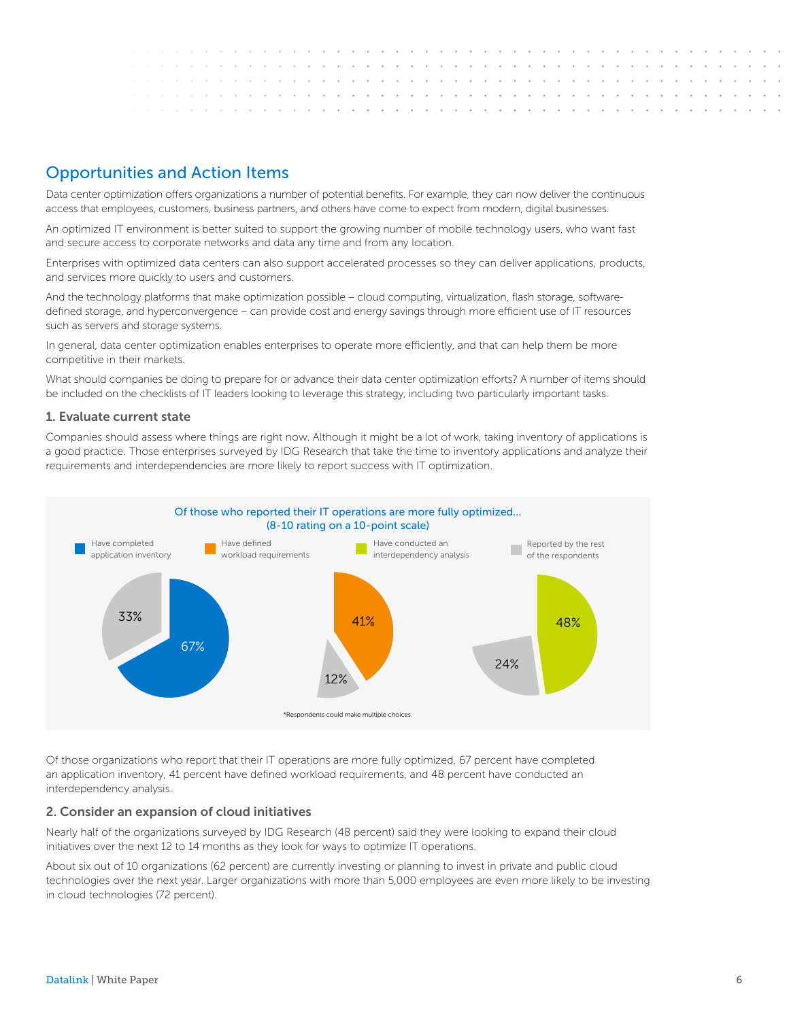

# Opportunities and Action Items

Data center optimization offers organizations a number of potential benefits. For example, they can now deliver the continuous access that employees, customers, business partners, and others have come to expect from modern, digital businesses.

An optimized IT environment is better suited to support the growing number of mobile technology users, who want fast and secure access to corporate networks and data any time and from any location.

Enterprises with optimized data centers can also support accelerated processes so they can deliver applications, products, and services more quickly to users and customers.

And the technology platforms that make optimization possible – cloud computing, virtualization, flash storage, softwaredefined storage, and hyperconvergence – can provide cost and energy savings through more efficient use of IT resources such as servers and storage systems.

In general, data center optimization enables enterprises to operate more efficiently, and that can help them be more competitive in their markets.

What should companies be doing to prepare for or advance their data center optimization efforts? A number of items should be included on the checklists of IT leaders looking to leverage this strategy, including two particularly important tasks.

## 1. Evaluate current state

Companies should assess where things are right now. Although it might be a lot of work, taking inventory of applications is a good practice. Those enterprises surveyed by IDG Research that take the time to inventory applications and analyze their requirements and interdependencies are more likely to report success with IT optimization.



Of those organizations who report that their IT operations are more fully optimized, 67 percent have completed an application inventory, 41 percent have defined workload requirements, and 48 percent have conducted an interdependency analysis.

#### 2. Consider an expansion of cloud initiatives

Nearly half of the organizations surveyed by IDG Research (48 percent) said they were looking to expand their cloud initiatives over the next 12 to 14 months as they look for ways to optimize IT operations.

About six out of 10 organizations (62 percent) are currently investing or planning to invest in private and public cloud technologies over the next year. Larger organizations with more than 5,000 employees are even more likely to be investing in cloud technologies (72 percent).